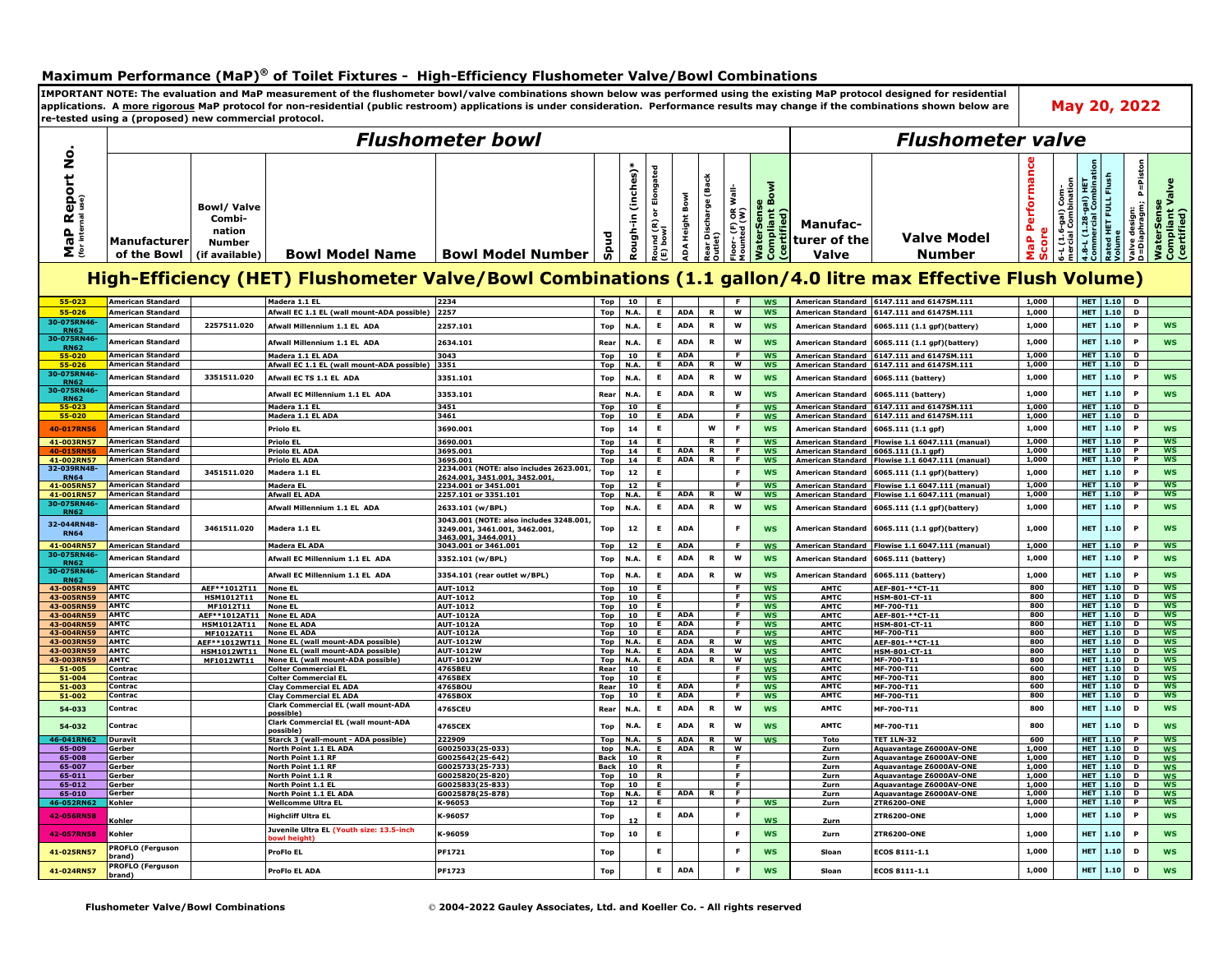## **Maximum Performance (MaP)® of Toilet Fixtures - High-Efficiency Flushometer Valve/Bowl Combinations**

**IMPORTANT NOTE: The evaluation and MaP measurement of the flushometer bowl/valve combinations shown below was performed using the existing MaP protocol designed for residential May 20, 2022 applications. A more rigorous MaP protocol for non-residential (public restroom) applications is under consideration. Performance results may change if the combinations shown below are re-tested using a (proposed) new commercial protocol.**  *Flushometer bowl Flushometer valve***MaP Report No.**  <u>ទ</u> **MaP Performance Commercial Combination D=Diaphragm; P=Piston Rough-in (inches)\* Round (R) or Elongated**  nd (R) or Elongated<br>bowl Performanc Rough-in (inches) P=Pist **Rear Discharge (Back Rated HET FULL Flush**  Report Rear Discharge (Back<br>Outlet) Flush<br>E **4.8-L (1.28-gal) HET Compliant Valve**  Imog 1ueildwo<br>Subse **Compliant Bowl**  Com-<br>ination se<br>Valve **mercial Combination** ilis<br>W **Floor- (F) OR Wall-6-L (1.6-gal) Com-**Bowl ated HET FULL F<br>olume **ADA Height Bowl**  $\frac{1}{2}$ **(for internal use) WaterSense WaterSense Bowl/ Valve**  (1.6-gal) C<br>cial Combii alve design:<br>=Diaphragm; **Valve design:**  aterSens<br>pmpliant<br>:ertified) ទ័ន្ **Mounted (W) (certified) (certified)** Height | **Combi-**8-L (1.28<br>nmmercia Floor- (F)<br>Mounted (1 **Manufac-** $\frac{\mathbf{a}}{\mathbf{b}}$ **nation Score Spud turer of the Valve Model**  MaP **Manufacturer Number**  á Σ៎ **of the Bowl (if available) Bowl Model Name Bowl Model Number Number Valve High-Efficiency (HET) Flushometer Valve/Bowl Combinations (1.1 gallon/4.0 litre max Effective Flush Volume) 55-023 American Standard Madera 1.1 EL 2234 Top 10 E F WS American Standard 6147.111 and 6147SM.111 1,000 HET 1.10 D 55-026** American Standard | Afwall FC 1.1 FL (wall mount-ADA nossible) 2257 | Ton | NA E | ADA R | W | WS | American Standard | 6147 111 and 6147SM 111 | 1.000 | HET | 1.10 | D **30-075RN46-** 7. The Magnetican Standard 2257511.020 Afwall Millennium 1.1 EL ADA 2257.101 Top N.A. E ADA R W WS American Standard 6065.111 (1.1 gpf)(battery) 1.000 HET 1.10 P WS 30-075R American Standard Merican Standard Millennium 1.1 EL ADA 2634.101 Rear N.A. E ADA R W WS American Standard 6065.111 (1.1 gpf)(battery) 1.000 HET 1.10 P WS **55-020 American Standard Madera 1.1 EL ADA 3043 Top 10 E ADA F WS American Standard 6147.111 and 6147SM.111 1,000 HET 1.10 D** 55-026 American Standard Afwall EC 1.1 EL (wall mount-ADA possible) 3351 7 Top N.A. E ADA R W WS American Standard 6147.111 and 6147SM.111 1,000 HET 1.10 D **30-075RN46-** Note American Standard 3351511.020 Afwall ECTS 1.1 EL ADA 3351.101 Top N.A. E ADA R W WS American Standard 6065.111 (battery) 1,000 HET 1.10 P WS **30-075RN46-** American Standard Merican Standard Merican Standard Merican Standard Merican Standard (6065.111 (battery) (1,000 | HET 1.10 PWS | 1,000 | HET 1.10 PWS | 1,000 | HET 1.10 PWS | 1,000 | HET 1.10 PWS | 1,000 | HET | 1.10 PWS **55-023 American Standard Madera 1.1 EL 3451 Top 10 E F WS American Standard 6147.111 and 6147SM.111 1,000 HET 1.10 D** American Standard | Madera 1.1 ELADA | 3461 | Top | 10 | E | ADA | | F | WS | American Standard | 6147.111 and 61475M.111 | 1,000 **40-017RN56 American Standard Priolo EL 3690.001 Top 14 E W F WS American Standard 6065.111 (1.1 gpf) 1,000 HET 1.10 P WS** Experiment of the Table of the Union of the Union of the Union of the Union of the Union of the Union of the U<br>Top 14 E ADA R F WS American Standard (1.1.0 P | NS | 1,000 | HET 1.10 P | WS | 1,000 | HET 1.10 P | UNITED 10<br> <u>40-015RN56 American Standard | Priolo ELADA | Priolo ELADA | Priolo ELADA | S695.001 | 14 | E | ADA | R | F | WS | American Standard |6065.111 (1.1 gpf) | 1.10 | HET | 1.10 | P | WS | WS | 1.00 | HET | 1.10 | P | WS | 1.0</u> **41-002RN57 American Standard Priolo EL ADA 3695.001 Top 14 E ADA R F WS American Standard Flowise 1.1 6047.111 (manual) 1,000 HET 1.10 P WS 32-039RN48- RN64 American Standard 3451511.020 Madera 1.1 EL 2234.001 (NOTE: also includes 2623.001, 2624.001, 3451.001, 3452.001, Top <sup>12</sup> <sup>E</sup> <sup>F</sup> WS American Standard 6065.111 (1.1 gpf)(battery) 1,000 HET 1.10 <sup>P</sup> WS** <u>41-005RN57</u> American Standard Madera EL (2234.001 or 3451.001 Top 12 E F WS American Standard Flowise 1.1 6047.111 (manual) 1,000 HET 1.10 P WS<br>11-001RN57 American Standard Afwall ELADA 2257.101 or 3351.101 Top N.A. E AD American Standard Flowise 1.1 6047.111 (manua **30-075RN46-** 75 / American Standard Ministration of Afwall Millennium 1.1 EL ADA 2633.101 (w/BPL) Top N.A. E ADA R W WS American Standard 6065.111 (1.1 gpf)(battery) 1.000 HET 1.10 P WS **3043.001 (NOTE: also includes 3248.001, 32-044RN48- Top 12 E ADA F WS American Standard 6065.111 (1.1 gpf)(battery) 1,000 HET 1.10 P WS 3249.001, 3461.001, 3462.001, RN64 American Standard 3461511.020 Madera 1.1 EL 3463.001, 3464.001)** <mark>41-004RN57</mark> American Standard | Madera ELADA | Madera ELADA | 19843.001 or 3461.001 | Top | 12 | E | ADA | | F | WS | American Standard |Flowise 1.1 6047.111 (manual) | 1,000 | | HET | 1.10 | P | WS **30-075RN46-** American Standard Merican Standard Merican Standard Merican Standard Merican Standard (6065.111 (battery) 1,000 HET 1.10 PWS **30-075RN46-** American Standard Merican Standard Merican Standard Merican Standard Merican Standard (SO65.111 (battery) 1,000 HET 1.10 PWS American Standard (6065.111 (battery) 1,000 HET 1.10 PWS **43-005RN59 AMTC AEF\*\*1012T11 None EL AUT-1012 Top 10 E F WS AMTC AEF-801-\*\*CT-11 800 HET 1.10 D WS 43-005RN59 AMTC HSM1012T11 None EL AUT-1012 Top 10 E F WS AMTC HSM-801-CT-11 800 HET 1.10 D WS 43-005RN59 AMTC MF1012T11 None EL AUT-1012 Top 10 E F WS AMTC MF-700-T11 800 HET 1.10 D WS 43-004RN59 AMTC HSM1012AT11 None EL ADA AUT-1012A Top 10 E ADA F WS AMTC HSM-801-CT-11 800 HET 1.10 D WS** 43-004RN59 AMTC | AEF\*\*1012AT11 |None ELADA | AUT-1012A | Top | 10 | E | ADA | | F | WS | AMTC | AEF-801-\*\*CT-11 | 800 | |HET | 1.10 | D | WS **43-004RN59 AMTC MF1012AT11 None EL ADA AUT-1012A Top 10 E ADA F WS AMTC MF-700-T11 800 HET 1.10 D WS 43-003RN59 AMTC AEF\*\*1012WT11 None EL (wall mount-ADA possible) AUT-1012W Top N.A. E ADA R W WS AMTC AEF-801-\*\*CT-11 800 HET 1.10 D WS 43-003RN59 AMTC HSM1012WT11 None EL (wall mount-ADA possible) AUT-1012W Top N.A. E ADA R W WS AMTC HSM-801-CT-11 800 HET 1.10 D WS 43-003RN59 AMTC MF1012WT11 None EL (wall mount-ADA possible) AUT-1012W Top N.A. E ADA R W WS AMTC MF-700-T11 800 HET 1.10 D WS 51-005 Contrac Colter Commercial EL 4765BEU Rear 10 E F WS AMTC MF-700-T11 600 HET 1.10 D WS 51-004 Contrac Colter Commercial EL 4765BEX Top 10 E F WS AMTC MF-700-T11 800 HET 1.10 D WS 51-003 Contrac Clay Commercial EL ADA 4765BOU Rear 10 E ADA F WS AMTC MF-700-T11 600 HET 1.10 D WS 51-002 Contrac Clay Commercial EL ADA 4765BOX Top 10 E ADA F WS AMTC MF-700-T11 800 HET 1.10 D WS 54-033 Contrac Clark Commercial EL (wall mount-ADA possible) 4765CEU Rear N.A. <sup>E</sup> ADA <sup>R</sup> <sup>W</sup> WS AMTC MF-700-T11 <sup>800</sup> HET 1.10 <sup>D</sup> WS 54-032 Contrac Clark Commercial EL (wall mount-ADA possible) 4765CEX Top N.A. <sup>E</sup> ADA <sup>R</sup> <sup>W</sup> WS AMTC MF-700-T11 <sup>800</sup> HET 1.10 <sup>D</sup> WS 46-041RN62 Duravit Starck 3 (wall-mount - ADA possible) 222909 Top N.A. S ADA R W WS Toto TET 1LN-32 600 HET 1.10 P WS 65-009 Gerber North Point 1.1 EL ADA G0025033(25-033) top N.A. E ADA R W Zurn Aquavantage Z6000AV-ONE 1,000 HET 1.10 D WS 65-008 Gerber North Point 1.1 RF G0025642(25-642) Back 10 R F Zurn Aquavantage Z6000AV-ONE 1,000 HET 1.10 D WS 65-007 Gerber North Point 1.1 RF G0025733(25-733) Back 10 R F Zurn Aquavantage Z6000AV-ONE 1,000 HET 1.10 D WS 65-011 Gerber North Point 1.1 R G0025820(25-820) Top 10 R F Zurn Aquavantage Z6000AV-ONE 1,000 HET 1.10 D WS 65-012 Gerber North Point 1.1 EL G0025833(25-833) Top 10 E F Zurn Aquavantage Z6000AV-ONE 1,000 HET 1.10 D WS 65-010 Gerber North Point 1.1 EL ADA G0025878(25-878) Top N.A. E ADA R F Zurn Aquavantage Z6000AV-ONE 1,000 HET 1.10 D WS 46-052RN62 Kohler Wellcomme Ultra EL K-96053 Top 12 E F WS Zurn ZTR6200-ONE 1,000 HET 1.10 P WS 42-056RN58 Kohler Highcliff Ultra EL K-96057 Top <sup>12</sup> <sup>E</sup> ADA <sup>F</sup> WS Zurn ZTR6200-ONE 1,000 HET 1.10 <sup>P</sup> WS 42-057RN58 Kohler CONSERVING EL (ACCORDING EL (Youth size: 13.5-inch and 2-057RN58) <b>Kohler CONSERVING bowl height) K-96059 Top <sup>10</sup> <sup>E</sup> <sup>F</sup> WS Zurn ZTR6200-ONE 1,000 HET 1.10 <sup>P</sup> WS 41-025RN57 PROFLO (Ferguson brand) ProFlo EL PF1721 Top <sup>E</sup> <sup>F</sup> WS Sloan ECOS 8111-1.1 1,000 HET 1.10 <sup>D</sup> WS 41-024RN57 PROFLO (Ferguson brand) ProFlo EL ADA PF1723 Top <sup>E</sup> ADA <sup>F</sup> WS Sloan ECOS 8111-1.1 1,000 HET 1.10 <sup>D</sup> WS**